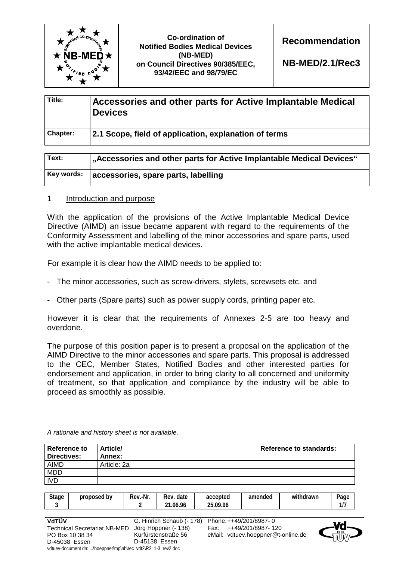

| Title:          | Accessories and other parts for Active Implantable Medical<br><b>Devices</b> |
|-----------------|------------------------------------------------------------------------------|
| <b>Chapter:</b> | 2.1 Scope, field of application, explanation of terms                        |

| Text:      | ' "Accessories and other parts for Active Implantable Medical Devices" |
|------------|------------------------------------------------------------------------|
| Key words: | accessories, spare parts, labelling                                    |

### 1 Introduction and purpose

With the application of the provisions of the Active Implantable Medical Device Directive (AIMD) an issue became apparent with regard to the requirements of the Conformity Assessment and labelling of the minor accessories and spare parts, used with the active implantable medical devices.

For example it is clear how the AIMD needs to be applied to:

- The minor accessories, such as screw-drivers, stylets, screwsets etc. and
- Other parts (Spare parts) such as power supply cords, printing paper etc.

However it is clear that the requirements of Annexes 2-5 are too heavy and overdone.

The purpose of this position paper is to present a proposal on the application of the AIMD Directive to the minor accessories and spare parts. This proposal is addressed to the CEC, Member States, Notified Bodies and other interested parties for endorsement and application, in order to bring clarity to all concerned and uniformity of treatment, so that application and compliance by the industry will be able to proceed as smoothly as possible.

| Reference to<br><b>Directives:</b> | <b>Article/</b><br>Annex: | Reference to standards: |
|------------------------------------|---------------------------|-------------------------|
| <b>AIMD</b>                        | Article: 2a               |                         |
| <b>MDD</b>                         |                           |                         |
| <b>IVD</b>                         |                           |                         |

*A rationale and history sheet is not available.* 

vdtuev-document dn: ...\hoeppner\mp\nb\rec\_vdt2\R2\_1-3\_rev2.doc

| <b>Stage</b>    | proposed by                         | Rev.-Nr.      | Rev. date                 | accepted               | amended                            | withdrawn | Page |
|-----------------|-------------------------------------|---------------|---------------------------|------------------------|------------------------------------|-----------|------|
| J               |                                     |               | 21.06.96                  | 25.09.96               |                                    |           | 1/7  |
|                 |                                     |               |                           |                        |                                    |           |      |
| VdTÜV           |                                     |               | G. Hinrich Schaub (- 178) | Phone: ++49/201/8987-0 |                                    |           |      |
|                 | <b>Technical Secretariat NB-MED</b> |               | Jörg Höppner (- 138)      | Fax:                   | ++49/201/8987-120                  |           | пñ   |
| PO Box 10 38 34 |                                     |               | Kurfürstenstraße 56       |                        | eMail: vdtuev.hoeppner@t-online.de |           |      |
| D-45038 Essen   |                                     | D-45138 Essen |                           |                        |                                    |           |      |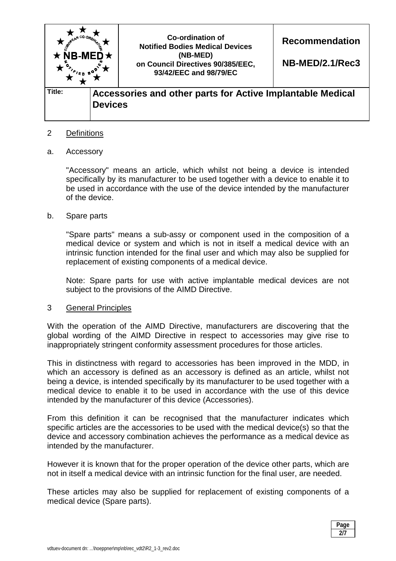

# 2 Definitions

### a. Accessory

 "Accessory" means an article, which whilst not being a device is intended specifically by its manufacturer to be used together with a device to enable it to be used in accordance with the use of the device intended by the manufacturer of the device.

### b. Spare parts

 "Spare parts" means a sub-assy or component used in the composition of a medical device or system and which is not in itself a medical device with an intrinsic function intended for the final user and which may also be supplied for replacement of existing components of a medical device.

 Note: Spare parts for use with active implantable medical devices are not subject to the provisions of the AIMD Directive.

#### 3 General Principles

With the operation of the AIMD Directive, manufacturers are discovering that the global wording of the AIMD Directive in respect to accessories may give rise to inappropriately stringent conformity assessment procedures for those articles.

This in distinctness with regard to accessories has been improved in the MDD, in which an accessory is defined as an accessory is defined as an article, whilst not being a device, is intended specifically by its manufacturer to be used together with a medical device to enable it to be used in accordance with the use of this device intended by the manufacturer of this device (Accessories).

From this definition it can be recognised that the manufacturer indicates which specific articles are the accessories to be used with the medical device(s) so that the device and accessory combination achieves the performance as a medical device as intended by the manufacturer.

However it is known that for the proper operation of the device other parts, which are not in itself a medical device with an intrinsic function for the final user, are needed.

These articles may also be supplied for replacement of existing components of a medical device (Spare parts).

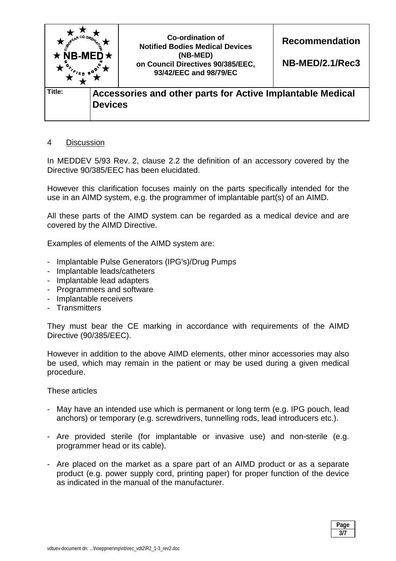

# 4 Discussion

In MEDDEV 5/93 Rev. 2, clause 2.2 the definition of an accessory covered by the Directive 90/385/EEC has been elucidated.

However this clarification focuses mainly on the parts specifically intended for the use in an AIMD system, e.g. the programmer of implantable part(s) of an AIMD.

All these parts of the AIMD system can be regarded as a medical device and are covered by the AIMD Directive.

Examples of elements of the AIMD system are:

- Implantable Pulse Generators (IPG's)/Drug Pumps
- Implantable leads/catheters
- Implantable lead adapters
- Programmers and software
- Implantable receivers
- Transmitters

They must bear the CE marking in accordance with requirements of the AIMD Directive (90/385/EEC).

However in addition to the above AIMD elements, other minor accessories may also be used, which may remain in the patient or may be used during a given medical procedure.

These articles

- May have an intended use which is permanent or long term (e.g. IPG pouch, lead anchors) or temporary (e.g. screwdrivers, tunnelling rods, lead introducers etc.).
- Are provided sterile (for implantable or invasive use) and non-sterile (e.g. programmer head or its cable).
- Are placed on the market as a spare part of an AIMD product or as a separate product (e.g. power supply cord, printing paper) for proper function of the device as indicated in the manual of the manufacturer.

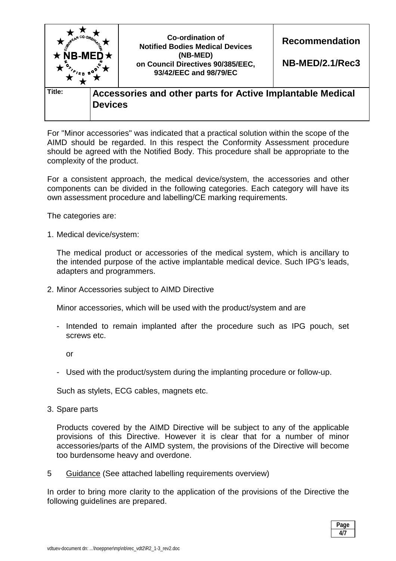

For "Minor accessories" was indicated that a practical solution within the scope of the AIMD should be regarded. In this respect the Conformity Assessment procedure should be agreed with the Notified Body. This procedure shall be appropriate to the complexity of the product.

For a consistent approach, the medical device/system, the accessories and other components can be divided in the following categories. Each category will have its own assessment procedure and labelling/CE marking requirements.

The categories are:

1. Medical device/system:

 The medical product or accessories of the medical system, which is ancillary to the intended purpose of the active implantable medical device. Such IPG's leads, adapters and programmers.

2. Minor Accessories subject to AIMD Directive

Minor accessories, which will be used with the product/system and are

- Intended to remain implanted after the procedure such as IPG pouch, set screws etc.

or

- Used with the product/system during the implanting procedure or follow-up.

Such as stylets, ECG cables, magnets etc.

3. Spare parts

 Products covered by the AIMD Directive will be subject to any of the applicable provisions of this Directive. However it is clear that for a number of minor accessories/parts of the AIMD system, the provisions of the Directive will become too burdensome heavy and overdone.

5 Guidance (See attached labelling requirements overview)

In order to bring more clarity to the application of the provisions of the Directive the following guidelines are prepared.

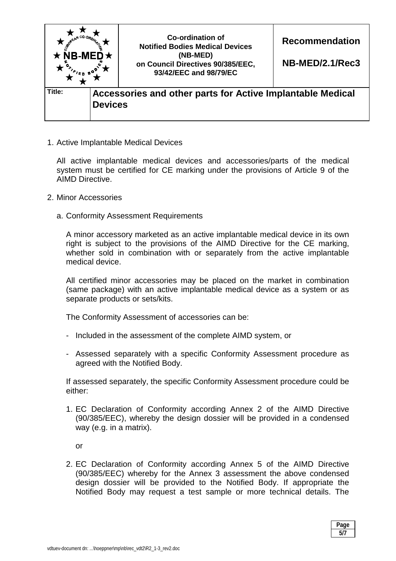

1. Active Implantable Medical Devices

 All active implantable medical devices and accessories/parts of the medical system must be certified for CE marking under the provisions of Article 9 of the AIMD Directive.

- 2. Minor Accessories
	- a. Conformity Assessment Requirements

 A minor accessory marketed as an active implantable medical device in its own right is subject to the provisions of the AIMD Directive for the CE marking, whether sold in combination with or separately from the active implantable medical device.

 All certified minor accessories may be placed on the market in combination (same package) with an active implantable medical device as a system or as separate products or sets/kits.

The Conformity Assessment of accessories can be:

- Included in the assessment of the complete AIMD system, or
- Assessed separately with a specific Conformity Assessment procedure as agreed with the Notified Body.

 If assessed separately, the specific Conformity Assessment procedure could be either:

1. EC Declaration of Conformity according Annex 2 of the AIMD Directive (90/385/EEC), whereby the design dossier will be provided in a condensed way (e.g. in a matrix).

or

2. EC Declaration of Conformity according Annex 5 of the AIMD Directive (90/385/EEC) whereby for the Annex 3 assessment the above condensed design dossier will be provided to the Notified Body. If appropriate the Notified Body may request a test sample or more technical details. The

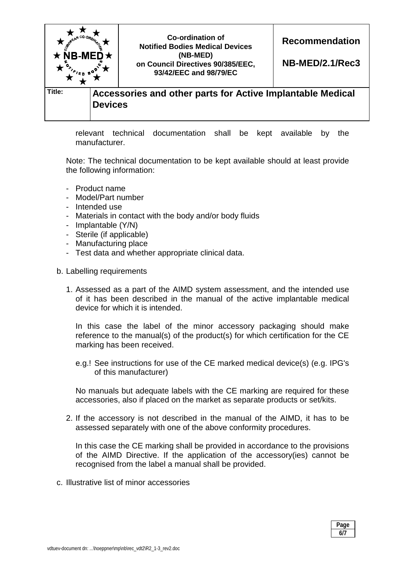

relevant technical documentation shall be kept available by the manufacturer.

Note: The technical documentation to be kept available should at least provide the following information:

- Product name
- Model/Part number
- Intended use
- Materials in contact with the body and/or body fluids
- Implantable (Y/N)
- Sterile (if applicable)
- Manufacturing place
- Test data and whether appropriate clinical data.
- b. Labelling requirements
	- 1. Assessed as a part of the AIMD system assessment, and the intended use of it has been described in the manual of the active implantable medical device for which it is intended.

 In this case the label of the minor accessory packaging should make reference to the manual(s) of the product(s) for which certification for the CE marking has been received.

e.g.! See instructions for use of the CE marked medical device(s) (e.g. IPG's of this manufacturer)

 No manuals but adequate labels with the CE marking are required for these accessories, also if placed on the market as separate products or set/kits.

2. If the accessory is not described in the manual of the AIMD, it has to be assessed separately with one of the above conformity procedures.

 In this case the CE marking shall be provided in accordance to the provisions of the AIMD Directive. If the application of the accessory(ies) cannot be recognised from the label a manual shall be provided.

c. Illustrative list of minor accessories